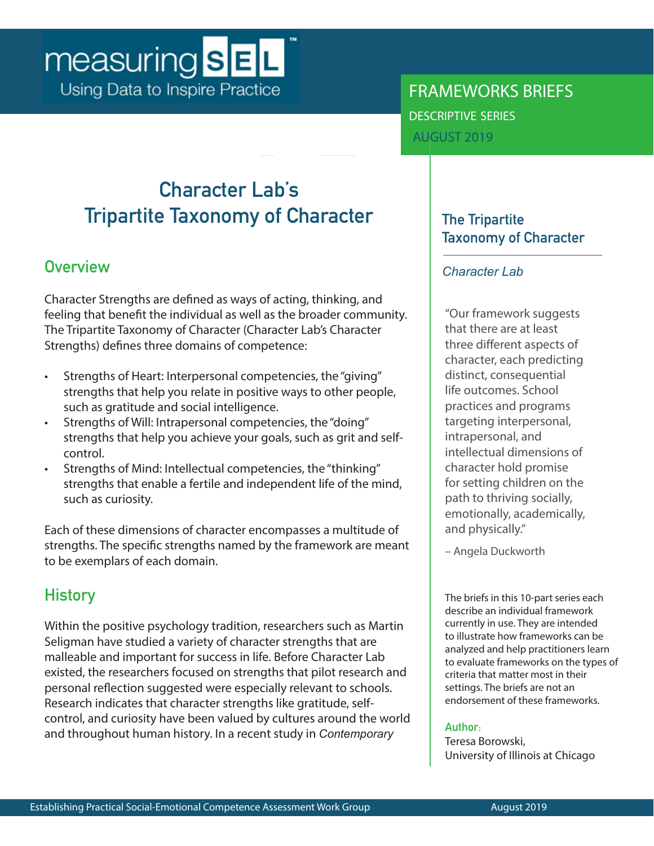# measuring **SEL** Using Data to Inspire Practice

FRAMEWORKS BRIEFS descriptive series

AUGUST 2019

## **Character Lab's Tripartite Taxonomy of Character**

## **Overview**

Character Strengths are defined as ways of acting, thinking, and feeling that benefit the individual as well as the broader community. The Tripartite Taxonomy of Character (Character Lab's Character Strengths) defines three domains of competence:

- Strengths of Heart: Interpersonal competencies, the "giving" strengths that help you relate in positive ways to other people, such as gratitude and social intelligence.
- Strengths of Will: Intrapersonal competencies, the "doing" strengths that help you achieve your goals, such as grit and selfcontrol.
- Strengths of Mind: Intellectual competencies, the "thinking" strengths that enable a fertile and independent life of the mind, such as curiosity.

Each of these dimensions of character encompasses a multitude of strengths. The specific strengths named by the framework are meant to be exemplars of each domain.

## **History**

Within the positive psychology tradition, researchers such as Martin Seligman have studied a variety of character strengths that are malleable and important for success in life. Before Character Lab existed, the researchers focused on strengths that pilot research and personal reflection suggested were especially relevant to schools. Research indicates that character strengths like gratitude, selfcontrol, and curiosity have been valued by cultures around the world and throughout human history. In a recent study in *Contemporary*

### **The Tripartite Taxonomy of Character**

#### *Character Lab*

"Our framework suggests that there are at least three different aspects of character, each predicting distinct, consequential life outcomes. School practices and programs targeting interpersonal, intrapersonal, and intellectual dimensions of character hold promise for setting children on the path to thriving socially, emotionally, academically, and physically."

– Angela Duckworth

The briefs in this 10-part series each describe an individual framework currently in use. They are intended to illustrate how frameworks can be analyzed and help practitioners learn to evaluate frameworks on the types of criteria that matter most in their settings. The briefs are not an endorsement of these frameworks.

#### **Author:**

Teresa Borowski, University of Illinois at Chicago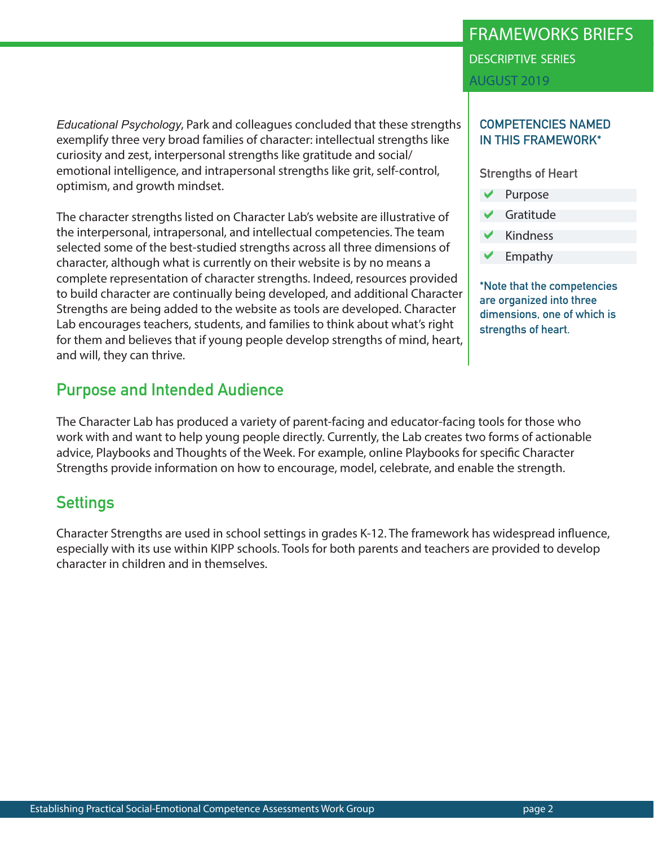Establishing Practical Social-Emotional Competence Assessments Work Group page 2

### *Educational Psychology*, Park and colleagues concluded that these strengths exemplify three very broad families of character: intellectual strengths like curiosity and zest, interpersonal strengths like gratitude and social/ emotional intelligence, and intrapersonal strengths like grit, self-control, optimism, and growth mindset.

The character strengths listed on Character Lab's website are illustrative of the interpersonal, intrapersonal, and intellectual competencies. The team selected some of the best-studied strengths across all three dimensions of character, although what is currently on their website is by no means a complete representation of character strengths. Indeed, resources provided to build character are continually being developed, and additional Character Strengths are being added to the website as tools are developed. Character Lab encourages teachers, students, and families to think about what's right for them and believes that if young people develop strengths of mind, heart,

## **Purpose and Intended Audience**

and will, they can thrive.

The Character Lab has produced a variety of parent-facing and educator-facing tools for those who work with and want to help young people directly. Currently, the Lab creates two forms of actionable advice, Playbooks and Thoughts of the Week. For example, online Playbooks for specific Character Strengths provide information on how to encourage, model, celebrate, and enable the strength.

## **Settings**

Character Strengths are used in school settings in grades K-12. The framework has widespread influence, especially with its use within KIPP schools. Tools for both parents and teachers are provided to develop character in children and in themselves.

# FRAMEWORKS BRIEFS descriptive series

AUGUST 2019

#### **COMPETENCIES NAMED IN THIS FRAMEWORK\***

**Strengths of Heart**

- Purpose a
- Gratitude a
- Kindness a
- Empathy a

**\*Note that the competencies are organized into three dimensions, one of which is strengths of heart.**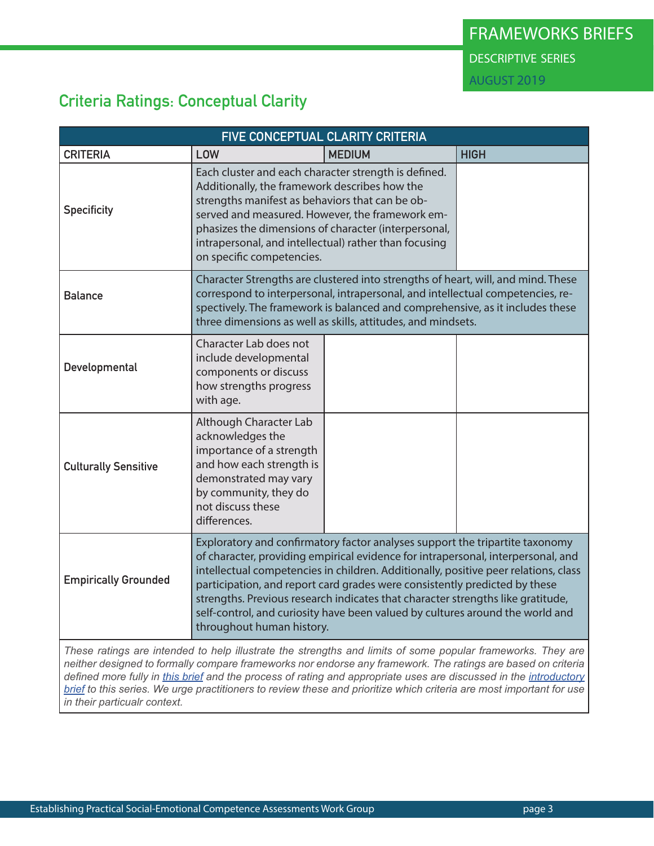## **Criteria Ratings: Conceptual Clarity**

| FIVE CONCEPTUAL CLARITY CRITERIA                                                                                                                                                                                                                                                                                                                                                                                                                                                |                                                                                                                                                                                                                                                                                                                                                                                                                                                                                                                                        |               |             |  |  |
|---------------------------------------------------------------------------------------------------------------------------------------------------------------------------------------------------------------------------------------------------------------------------------------------------------------------------------------------------------------------------------------------------------------------------------------------------------------------------------|----------------------------------------------------------------------------------------------------------------------------------------------------------------------------------------------------------------------------------------------------------------------------------------------------------------------------------------------------------------------------------------------------------------------------------------------------------------------------------------------------------------------------------------|---------------|-------------|--|--|
| <b>CRITERIA</b>                                                                                                                                                                                                                                                                                                                                                                                                                                                                 | LOW                                                                                                                                                                                                                                                                                                                                                                                                                                                                                                                                    | <b>MEDIUM</b> | <b>HIGH</b> |  |  |
| <b>Specificity</b>                                                                                                                                                                                                                                                                                                                                                                                                                                                              | Each cluster and each character strength is defined.<br>Additionally, the framework describes how the<br>strengths manifest as behaviors that can be ob-<br>served and measured. However, the framework em-<br>phasizes the dimensions of character (interpersonal,<br>intrapersonal, and intellectual) rather than focusing<br>on specific competencies.                                                                                                                                                                              |               |             |  |  |
| <b>Balance</b>                                                                                                                                                                                                                                                                                                                                                                                                                                                                  | Character Strengths are clustered into strengths of heart, will, and mind. These<br>correspond to interpersonal, intrapersonal, and intellectual competencies, re-<br>spectively. The framework is balanced and comprehensive, as it includes these<br>three dimensions as well as skills, attitudes, and mindsets.                                                                                                                                                                                                                    |               |             |  |  |
| Developmental                                                                                                                                                                                                                                                                                                                                                                                                                                                                   | Character Lab does not<br>include developmental<br>components or discuss<br>how strengths progress<br>with age.                                                                                                                                                                                                                                                                                                                                                                                                                        |               |             |  |  |
| <b>Culturally Sensitive</b>                                                                                                                                                                                                                                                                                                                                                                                                                                                     | Although Character Lab<br>acknowledges the<br>importance of a strength<br>and how each strength is<br>demonstrated may vary<br>by community, they do<br>not discuss these<br>differences.                                                                                                                                                                                                                                                                                                                                              |               |             |  |  |
| <b>Empirically Grounded</b>                                                                                                                                                                                                                                                                                                                                                                                                                                                     | Exploratory and confirmatory factor analyses support the tripartite taxonomy<br>of character, providing empirical evidence for intrapersonal, interpersonal, and<br>intellectual competencies in children. Additionally, positive peer relations, class<br>participation, and report card grades were consistently predicted by these<br>strengths. Previous research indicates that character strengths like gratitude,<br>self-control, and curiosity have been valued by cultures around the world and<br>throughout human history. |               |             |  |  |
| These ratings are intended to help illustrate the strengths and limits of some popular frameworks. They are<br>neither designed to formally compare frameworks nor endorse any framework. The ratings are based on criteria<br>defined more fully in this brief and the process of rating and appropriate uses are discussed in the introductory<br><b>brief</b> to this series. We urge practitioners to review these and prioritize which criteria are most important for use |                                                                                                                                                                                                                                                                                                                                                                                                                                                                                                                                        |               |             |  |  |

*in their particualr context.*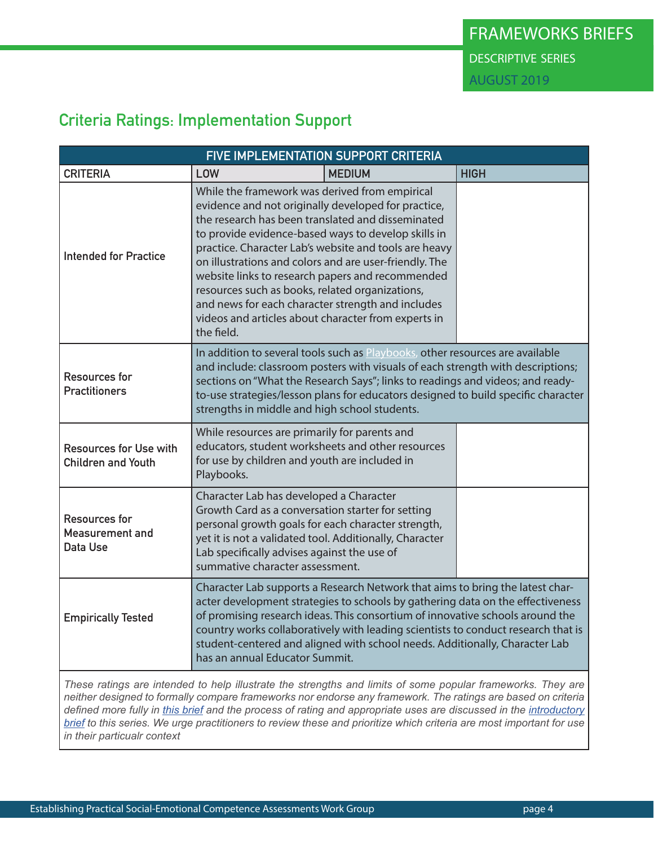## **Criteria Ratings: Implementation Support**

| FIVE IMPLEMENTATION SUPPORT CRITERIA                       |                                                                                                                                                                                                                                                                                                                                                                                                                                                                                                                                                                       |                                                                                                                                                                                                                                                                                                 |             |  |  |
|------------------------------------------------------------|-----------------------------------------------------------------------------------------------------------------------------------------------------------------------------------------------------------------------------------------------------------------------------------------------------------------------------------------------------------------------------------------------------------------------------------------------------------------------------------------------------------------------------------------------------------------------|-------------------------------------------------------------------------------------------------------------------------------------------------------------------------------------------------------------------------------------------------------------------------------------------------|-------------|--|--|
| <b>CRITERIA</b>                                            | LOW                                                                                                                                                                                                                                                                                                                                                                                                                                                                                                                                                                   | <b>MEDIUM</b>                                                                                                                                                                                                                                                                                   | <b>HIGH</b> |  |  |
| <b>Intended for Practice</b>                               | While the framework was derived from empirical<br>evidence and not originally developed for practice,<br>the research has been translated and disseminated<br>to provide evidence-based ways to develop skills in<br>practice. Character Lab's website and tools are heavy<br>on illustrations and colors and are user-friendly. The<br>website links to research papers and recommended<br>resources such as books, related organizations,<br>and news for each character strength and includes<br>videos and articles about character from experts in<br>the field. |                                                                                                                                                                                                                                                                                                 |             |  |  |
| <b>Resources for</b><br><b>Practitioners</b>               | In addition to several tools such as Playbooks, other resources are available<br>and include: classroom posters with visuals of each strength with descriptions;<br>sections on "What the Research Says"; links to readings and videos; and ready-<br>to-use strategies/lesson plans for educators designed to build specific character<br>strengths in middle and high school students.                                                                                                                                                                              |                                                                                                                                                                                                                                                                                                 |             |  |  |
| <b>Resources for Use with</b><br><b>Children and Youth</b> | Playbooks.                                                                                                                                                                                                                                                                                                                                                                                                                                                                                                                                                            | While resources are primarily for parents and<br>educators, student worksheets and other resources<br>for use by children and youth are included in                                                                                                                                             |             |  |  |
| <b>Resources for</b><br><b>Measurement and</b><br>Data Use |                                                                                                                                                                                                                                                                                                                                                                                                                                                                                                                                                                       | Character Lab has developed a Character<br>Growth Card as a conversation starter for setting<br>personal growth goals for each character strength,<br>yet it is not a validated tool. Additionally, Character<br>Lab specifically advises against the use of<br>summative character assessment. |             |  |  |
| <b>Empirically Tested</b>                                  | Character Lab supports a Research Network that aims to bring the latest char-<br>acter development strategies to schools by gathering data on the effectiveness<br>of promising research ideas. This consortium of innovative schools around the<br>country works collaboratively with leading scientists to conduct research that is<br>student-centered and aligned with school needs. Additionally, Character Lab<br>has an annual Educator Summit.                                                                                                                |                                                                                                                                                                                                                                                                                                 |             |  |  |
|                                                            |                                                                                                                                                                                                                                                                                                                                                                                                                                                                                                                                                                       |                                                                                                                                                                                                                                                                                                 |             |  |  |

*These ratings are intended to help illustrate the strengths and limits of some popular frameworks. They are neither designed to formally compare frameworks nor endorse any framework. The ratings are based on criteria defined more fully in [this brief](https://measuringsel.casel.org/wp-content/uploads/2019/08/AWG-Framework-A.3-2nd-Edition.pdf) and the process of rating and appropriate uses are discussed in the [introductory](https://measuringsel.casel.org/wp-content/uploads/2019/08/AWG-Introductory-Brief.pdf) [brief](https://measuringsel.casel.org/wp-content/uploads/2019/08/AWG-Introductory-Brief.pdf) to this series. We urge practitioners to review these and prioritize which criteria are most important for use in their particualr context*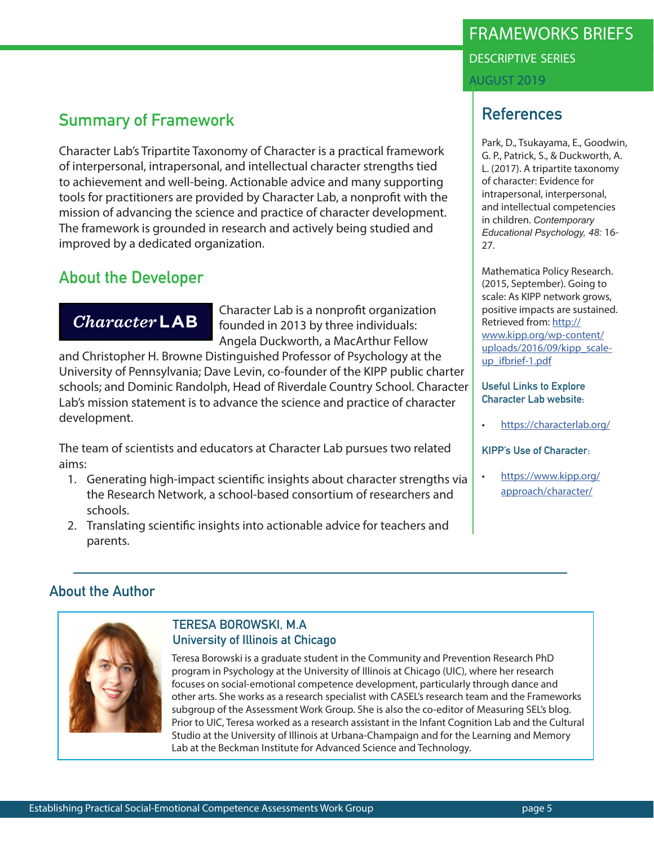## **Summary of Framework**

Character Lab's Tripartite Taxonomy of Character is a practical framework of interpersonal, intrapersonal, and intellectual character strengths tied to achievement and well-being. Actionable advice and many supporting tools for practitioners are provided by Character Lab, a nonprofit with the mission of advancing the science and practice of character development. The framework is grounded in research and actively being studied and improved by a dedicated organization.

### **About the Developer**

 $Character$ LAB

Character Lab is a nonprofit organization founded in 2013 by three individuals: Angela Duckworth, a MacArthur Fellow

and Christopher H. Browne Distinguished Professor of Psychology at the University of Pennsylvania; Dave Levin, co-founder of the KIPP public charter schools; and Dominic Randolph, Head of Riverdale Country School. Character Lab's mission statement is to advance the science and practice of character development.

The team of scientists and educators at Character Lab pursues two related aims:

- 1. Generating high-impact scientific insights about character strengths via the Research Network, a school-based consortium of researchers and schools.
- 2. Translating scientific insights into actionable advice for teachers and parents.

## FRAMEWORKS BRIEFS descriptive series AUGUST 2019

## **References**

Park, D., Tsukayama, E., Goodwin, G. P., Patrick, S., & Duckworth, A. L. (2017). A tripartite taxonomy of character: Evidence for intrapersonal, interpersonal, and intellectual competencies in children. *Contemporary Educational Psychology, 48:* 16- 27.

Mathematica Policy Research. (2015, September). Going to scale: As KIPP network grows, positive impacts are sustained. Retrieved from: [http://](http://www.kipp.org/wp-content/uploads/2016/09/kipp_scale-up_ifbrief-1.pdf) [www.kipp.org/wp-content/](http://www.kipp.org/wp-content/uploads/2016/09/kipp_scale-up_ifbrief-1.pdf) [uploads/2016/09/kipp\\_scale](http://www.kipp.org/wp-content/uploads/2016/09/kipp_scale-up_ifbrief-1.pdf)[up\\_ifbrief-1.pdf](http://www.kipp.org/wp-content/uploads/2016/09/kipp_scale-up_ifbrief-1.pdf)

**Useful Links to Explore Character Lab website:** 

• <https://characterlab.org/>

**KIPP's Use of Character:** 

• [https://www.kipp.org/](https://www.kipp.org/approach/character/ ) [approach/character/](https://www.kipp.org/approach/character/ )

#### **About the Author**



#### **TERESA BOROWSKI, M.A University of Illinois at Chicago**

Teresa Borowski is a graduate student in the Community and Prevention Research PhD program in Psychology at the University of Illinois at Chicago (UIC), where her research focuses on social-emotional competence development, particularly through dance and other arts. She works as a research specialist with CASEL's research team and the Frameworks subgroup of the Assessment Work Group. She is also the co-editor of Measuring SEL's blog. Prior to UIC, Teresa worked as a research assistant in the Infant Cognition Lab and the Cultural Studio at the University of Illinois at Urbana-Champaign and for the Learning and Memory Lab at the Beckman Institute for Advanced Science and Technology.